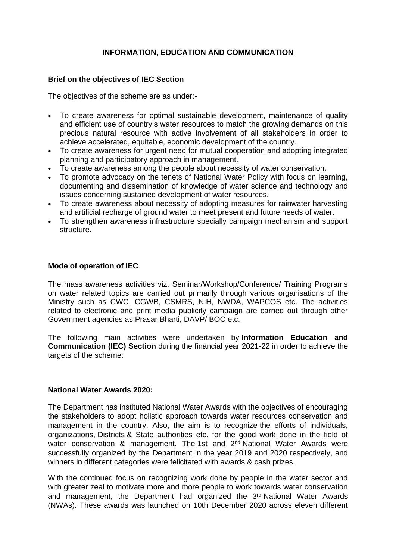# **INFORMATION, EDUCATION AND COMMUNICATION**

### **Brief on the objectives of IEC Section**

The objectives of the scheme are as under:-

- To create awareness for optimal sustainable development, maintenance of quality and efficient use of country's water resources to match the growing demands on this precious natural resource with active involvement of all stakeholders in order to achieve accelerated, equitable, economic development of the country.
- To create awareness for urgent need for mutual cooperation and adopting integrated planning and participatory approach in management.
- To create awareness among the people about necessity of water conservation.
- To promote advocacy on the tenets of National Water Policy with focus on learning, documenting and dissemination of knowledge of water science and technology and issues concerning sustained development of water resources.
- To create awareness about necessity of adopting measures for rainwater harvesting and artificial recharge of ground water to meet present and future needs of water.
- To strengthen awareness infrastructure specially campaign mechanism and support structure.

#### **Mode of operation of IEC**

The mass awareness activities viz. Seminar/Workshop/Conference/ Training Programs on water related topics are carried out primarily through various organisations of the Ministry such as CWC, CGWB, CSMRS, NIH, NWDA, WAPCOS etc. The activities related to electronic and print media publicity campaign are carried out through other Government agencies as Prasar Bharti, DAVP/ BOC etc.

The following main activities were undertaken by **Information Education and Communication (IEC) Section** during the financial year 2021-22 in order to achieve the targets of the scheme:

#### **National Water Awards 2020:**

The Department has instituted National Water Awards with the objectives of encouraging the stakeholders to adopt holistic approach towards water resources conservation and management in the country. Also, the aim is to recognize the efforts of individuals, organizations, Districts & State authorities etc. for the good work done in the field of water conservation & management. The 1st and 2<sup>nd</sup> National Water Awards were successfully organized by the Department in the year 2019 and 2020 respectively, and winners in different categories were felicitated with awards & cash prizes.

With the continued focus on recognizing work done by people in the water sector and with greater zeal to motivate more and more people to work towards water conservation and management, the Department had organized the 3rd National Water Awards (NWAs). These awards was launched on 10th December 2020 across eleven different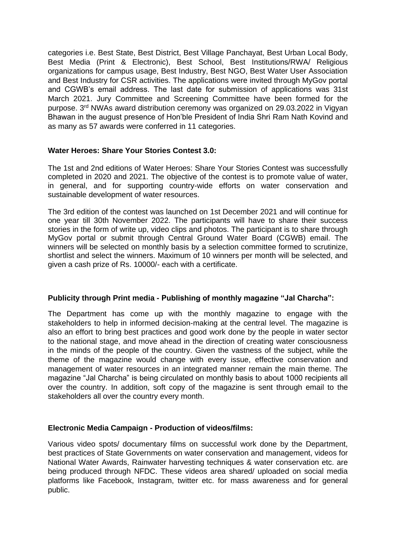categories i.e. Best State, Best District, Best Village Panchayat, Best Urban Local Body, Best Media (Print & Electronic), Best School, Best Institutions/RWA/ Religious organizations for campus usage, Best Industry, Best NGO, Best Water User Association and Best Industry for CSR activities. The applications were invited through MyGov portal and CGWB's email address. The last date for submission of applications was 31st March 2021. Jury Committee and Screening Committee have been formed for the purpose. 3rd NWAs award distribution ceremony was organized on 29.03.2022 in Vigyan Bhawan in the august presence of Hon'ble President of India Shri Ram Nath Kovind and as many as 57 awards were conferred in 11 categories.

# **Water Heroes: Share Your Stories Contest 3.0:**

The 1st and 2nd editions of Water Heroes: Share Your Stories Contest was successfully completed in 2020 and 2021. The objective of the contest is to promote value of water, in general, and for supporting country-wide efforts on water conservation and sustainable development of water resources.

The 3rd edition of the contest was launched on 1st December 2021 and will continue for one year till 30th November 2022. The participants will have to share their success stories in the form of write up, video clips and photos. The participant is to share through MyGov portal or submit through Central Ground Water Board (CGWB) email. The winners will be selected on monthly basis by a selection committee formed to scrutinize, shortlist and select the winners. Maximum of 10 winners per month will be selected, and given a cash prize of Rs. 10000/- each with a certificate.

### **Publicity through Print media - Publishing of monthly magazine "Jal Charcha":**

The Department has come up with the monthly magazine to engage with the stakeholders to help in informed decision-making at the central level. The magazine is also an effort to bring best practices and good work done by the people in water sector to the national stage, and move ahead in the direction of creating water consciousness in the minds of the people of the country. Given the vastness of the subject, while the theme of the magazine would change with every issue, effective conservation and management of water resources in an integrated manner remain the main theme. The magazine "Jal Charcha" is being circulated on monthly basis to about 1000 recipients all over the country. In addition, soft copy of the magazine is sent through email to the stakeholders all over the country every month.

# **Electronic Media Campaign - Production of videos/films:**

Various video spots/ documentary films on successful work done by the Department, best practices of State Governments on water conservation and management, videos for National Water Awards, Rainwater harvesting techniques & water conservation etc. are being produced through NFDC. These videos area shared/ uploaded on social media platforms like Facebook, Instagram, twitter etc. for mass awareness and for general public.